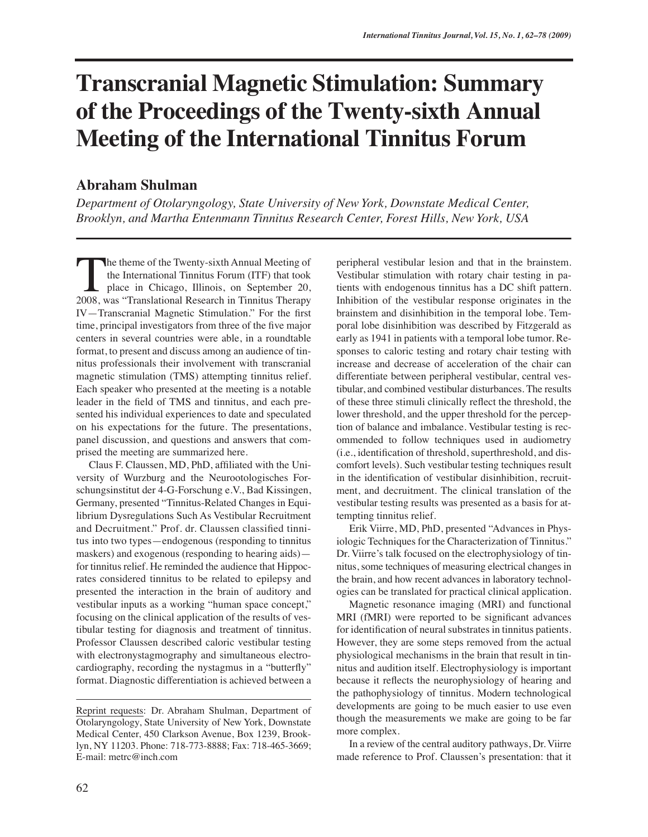## **Transcranial Magnetic Stimulation: Summary of the Proceedings of the Twenty-sixth Annual Meeting of the International Tinnitus Forum**

## **Abraham Shulman**

*Department of Otolaryngology, State University of New York, Downstate Medical Center, Brooklyn, and Martha Entenmann Tinnitus Research Center, Forest Hills, New York, USA*

he theme of the Twenty-sixth Annual Meeting of the International Tinnitus Forum (ITF) that took place in Chicago, Illinois, on September 20, The theme of the Twenty-sixth Annual Meeting of<br>the International Tinnitus Forum (ITF) that took<br>place in Chicago, Illinois, on September 20,<br>2008, was "Translational Research in Tinnitus Therapy IV—Transcranial Magnetic Stimulation." For the first time, principal investigators from three of the five major centers in several countries were able, in a roundtable format, to present and discuss among an audience of tinnitus professionals their involvement with transcranial magnetic stimulation (TMS) attempting tinnitus relief. Each speaker who presented at the meeting is a notable leader in the field of TMS and tinnitus, and each presented his individual experiences to date and speculated on his expectations for the future. The presentations, panel discussion, and questions and answers that comprised the meeting are summarized here.

Claus F. Claussen, MD, PhD, affiliated with the University of Wurzburg and the Neurootologisches Forschungsinstitut der 4-G-Forschung e.V., Bad Kissingen, Germany, presented "Tinnitus-Related Changes in Equilibrium Dysregulations Such As Vestibular Recruitment and Decruitment." Prof. dr. Claussen classified tinnitus into two types—endogenous (responding to tinnitus maskers) and exogenous (responding to hearing aids) for tinnitus relief. He reminded the audience that Hippocrates considered tinnitus to be related to epilepsy and presented the interaction in the brain of auditory and vestibular inputs as a working "human space concept," focusing on the clinical application of the results of vestibular testing for diagnosis and treatment of tinnitus. Professor Claussen described caloric vestibular testing with electronystagmography and simultaneous electrocardiography, recording the nystagmus in a "butterfly" format. Diagnostic differentiation is achieved between a

peripheral vestibular lesion and that in the brainstem. Vestibular stimulation with rotary chair testing in patients with endogenous tinnitus has a DC shift pattern. Inhibition of the vestibular response originates in the brainstem and disinhibition in the temporal lobe. Temporal lobe disinhibition was described by Fitzgerald as early as 1941 in patients with a temporal lobe tumor. Responses to caloric testing and rotary chair testing with increase and decrease of acceleration of the chair can differentiate between peripheral vestibular, central vestibular, and combined vestibular disturbances. The results of these three stimuli clinically reflect the threshold, the lower threshold, and the upper threshold for the perception of balance and imbalance. Vestibular testing is recommended to follow techniques used in audiometry (i.e., identification of threshold, superthreshold, and discomfort levels). Such vestibular testing techniques result in the identification of vestibular disinhibition, recruitment, and decruitment. The clinical translation of the vestibular testing results was presented as a basis for attempting tinnitus relief.

Erik Viirre, MD, PhD, presented "Advances in Physiologic Techniques for the Characterization of Tinnitus." Dr. Viirre's talk focused on the electrophysiology of tinnitus, some techniques of measuring electrical changes in the brain, and how recent advances in laboratory technologies can be translated for practical clinical application.

Magnetic resonance imaging (MRI) and functional MRI (fMRI) were reported to be significant advances for identification of neural substrates in tinnitus patients. However, they are some steps removed from the actual physiological mechanisms in the brain that result in tinnitus and audition itself. Electrophysiology is important because it reflects the neurophysiology of hearing and the pathophysiology of tinnitus. Modern technological developments are going to be much easier to use even though the measurements we make are going to be far more complex.

In a review of the central auditory pathways, Dr. Viirre made reference to Prof. Claussen's presentation: that it

Reprint requests: Dr. Abraham Shulman, Department of Otolaryngology, State University of New York, Downstate Medical Center, 450 Clarkson Avenue, Box 1239, Brooklyn, NY 11203. Phone: 718-773-8888; Fax: 718-465-3669; E-mail: metrc@inch.com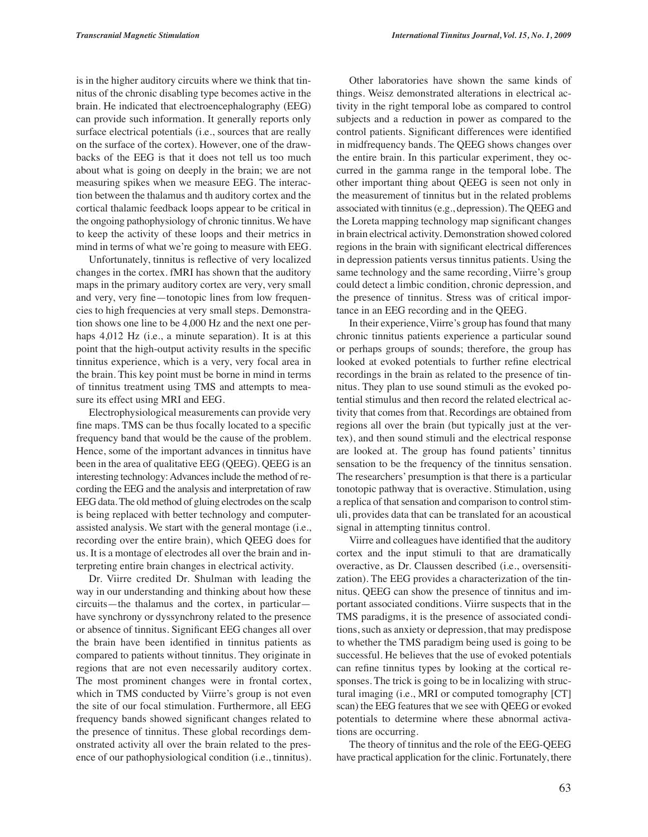is in the higher auditory circuits where we think that tinnitus of the chronic disabling type becomes active in the brain. He indicated that electroencephalography (EEG) can provide such information. It generally reports only surface electrical potentials (i.e., sources that are really on the surface of the cortex). However, one of the drawbacks of the EEG is that it does not tell us too much about what is going on deeply in the brain; we are not measuring spikes when we measure EEG. The interaction between the thalamus and th auditory cortex and the cortical thalamic feedback loops appear to be critical in the ongoing pathophysiology of chronic tinnitus. We have to keep the activity of these loops and their metrics in mind in terms of what we're going to measure with EEG.

Unfortunately, tinnitus is reflective of very localized changes in the cortex. fMRI has shown that the auditory maps in the primary auditory cortex are very, very small and very, very fine—tonotopic lines from low frequencies to high frequencies at very small steps. Demonstration shows one line to be 4,000 Hz and the next one perhaps 4,012 Hz (i.e., a minute separation). It is at this point that the high-output activity results in the specific tinnitus experience, which is a very, very focal area in the brain. This key point must be borne in mind in terms of tinnitus treatment using TMS and attempts to measure its effect using MRI and EEG.

Electrophysiological measurements can provide very fine maps. TMS can be thus focally located to a specific frequency band that would be the cause of the problem. Hence, some of the important advances in tinnitus have been in the area of qualitative EEG (QEEG). QEEG is an interesting technology: Advances include the method of recording the EEG and the analysis and interpretation of raw EEG data. The old method of gluing electrodes on the scalp is being replaced with better technology and computerassisted analysis. We start with the general montage (i.e., recording over the entire brain), which QEEG does for us. It is a montage of electrodes all over the brain and interpreting entire brain changes in electrical activity.

Dr. Viirre credited Dr. Shulman with leading the way in our understanding and thinking about how these circuits—the thalamus and the cortex, in particular have synchrony or dyssynchrony related to the presence or absence of tinnitus. Significant EEG changes all over the brain have been identified in tinnitus patients as compared to patients without tinnitus. They originate in regions that are not even necessarily auditory cortex. The most prominent changes were in frontal cortex, which in TMS conducted by Viirre's group is not even the site of our focal stimulation. Furthermore, all EEG frequency bands showed significant changes related to the presence of tinnitus. These global recordings demonstrated activity all over the brain related to the presence of our pathophysiological condition (i.e., tinnitus).

Other laboratories have shown the same kinds of things. Weisz demonstrated alterations in electrical activity in the right temporal lobe as compared to control subjects and a reduction in power as compared to the control patients. Significant differences were identified in midfrequency bands. The QEEG shows changes over the entire brain. In this particular experiment, they occurred in the gamma range in the temporal lobe. The other important thing about QEEG is seen not only in the measurement of tinnitus but in the related problems associated with tinnitus (e.g., depression). The QEEG and the Loreta mapping technology map significant changes in brain electrical activity. Demonstration showed colored regions in the brain with significant electrical differences in depression patients versus tinnitus patients. Using the same technology and the same recording, Viirre's group could detect a limbic condition, chronic depression, and the presence of tinnitus. Stress was of critical importance in an EEG recording and in the QEEG.

In their experience, Viirre's group has found that many chronic tinnitus patients experience a particular sound or perhaps groups of sounds; therefore, the group has looked at evoked potentials to further refine electrical recordings in the brain as related to the presence of tinnitus. They plan to use sound stimuli as the evoked potential stimulus and then record the related electrical activity that comes from that. Recordings are obtained from regions all over the brain (but typically just at the vertex), and then sound stimuli and the electrical response are looked at. The group has found patients' tinnitus sensation to be the frequency of the tinnitus sensation. The researchers' presumption is that there is a particular tonotopic pathway that is overactive. Stimulation, using a replica of that sensation and comparison to control stimuli, provides data that can be translated for an acoustical signal in attempting tinnitus control.

Viirre and colleagues have identified that the auditory cortex and the input stimuli to that are dramatically overactive, as Dr. Claussen described (i.e., oversensitization). The EEG provides a characterization of the tinnitus. QEEG can show the presence of tinnitus and important associated conditions. Viirre suspects that in the TMS paradigms, it is the presence of associated conditions, such as anxiety or depression, that may predispose to whether the TMS paradigm being used is going to be successful. He believes that the use of evoked potentials can refine tinnitus types by looking at the cortical responses. The trick is going to be in localizing with structural imaging (i.e., MRI or computed tomography [CT] scan) the EEG features that we see with QEEG or evoked potentials to determine where these abnormal activations are occurring.

The theory of tinnitus and the role of the EEG-QEEG have practical application for the clinic. Fortunately, there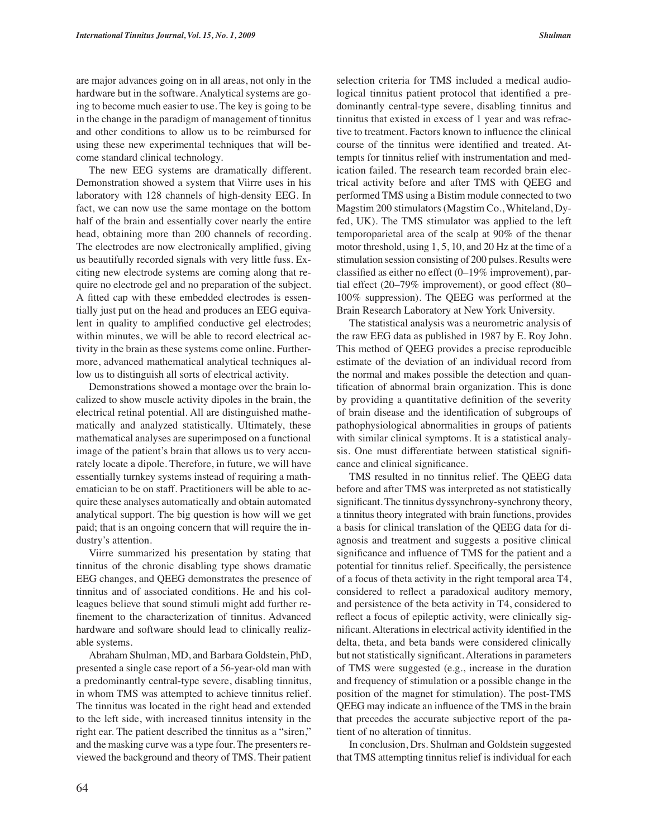are major advances going on in all areas, not only in the hardware but in the software. Analytical systems are going to become much easier to use. The key is going to be in the change in the paradigm of management of tinnitus and other conditions to allow us to be reimbursed for using these new experimental techniques that will become standard clinical technology.

The new EEG systems are dramatically different. Demonstration showed a system that Viirre uses in his laboratory with 128 channels of high-density EEG. In fact, we can now use the same montage on the bottom half of the brain and essentially cover nearly the entire head, obtaining more than 200 channels of recording. The electrodes are now electronically amplified, giving us beautifully recorded signals with very little fuss. Exciting new electrode systems are coming along that require no electrode gel and no preparation of the subject. A fitted cap with these embedded electrodes is essentially just put on the head and produces an EEG equivalent in quality to amplified conductive gel electrodes; within minutes, we will be able to record electrical activity in the brain as these systems come online. Furthermore, advanced mathematical analytical techniques allow us to distinguish all sorts of electrical activity.

Demonstrations showed a montage over the brain localized to show muscle activity dipoles in the brain, the electrical retinal potential. All are distinguished mathematically and analyzed statistically. Ultimately, these mathematical analyses are superimposed on a functional image of the patient's brain that allows us to very accurately locate a dipole. Therefore, in future, we will have essentially turnkey systems instead of requiring a mathematician to be on staff. Practitioners will be able to acquire these analyses automatically and obtain automated analytical support. The big question is how will we get paid; that is an ongoing concern that will require the industry's attention.

Viirre summarized his presentation by stating that tinnitus of the chronic disabling type shows dramatic EEG changes, and QEEG demonstrates the presence of tinnitus and of associated conditions. He and his colleagues believe that sound stimuli might add further refinement to the characterization of tinnitus. Advanced hardware and software should lead to clinically realizable systems.

Abraham Shulman, MD, and Barbara Goldstein, PhD, presented a single case report of a 56-year-old man with a predominantly central-type severe, disabling tinnitus, in whom TMS was attempted to achieve tinnitus relief. The tinnitus was located in the right head and extended to the left side, with increased tinnitus intensity in the right ear. The patient described the tinnitus as a "siren," and the masking curve was a type four. The presenters reviewed the background and theory of TMS. Their patient selection criteria for TMS included a medical audiological tinnitus patient protocol that identified a predominantly central-type severe, disabling tinnitus and tinnitus that existed in excess of 1 year and was refractive to treatment. Factors known to influence the clinical course of the tinnitus were identified and treated. Attempts for tinnitus relief with instrumentation and medication failed. The research team recorded brain electrical activity before and after TMS with QEEG and performed TMS using a Bistim module connected to two Magstim 200 stimulators (Magstim Co., Whiteland, Dyfed, UK). The TMS stimulator was applied to the left temporoparietal area of the scalp at 90% of the thenar motor threshold, using 1, 5, 10, and 20 Hz at the time of a stimulation session consisting of 200 pulses. Results were classified as either no effect (0–19% improvement), partial effect (20–79% improvement), or good effect (80– 100% suppression). The QEEG was performed at the Brain Research Laboratory at New York University.

The statistical analysis was a neurometric analysis of the raw EEG data as published in 1987 by E. Roy John. This method of QEEG provides a precise reproducible estimate of the deviation of an individual record from the normal and makes possible the detection and quantification of abnormal brain organization. This is done by providing a quantitative definition of the severity of brain disease and the identification of subgroups of pathophysiological abnormalities in groups of patients with similar clinical symptoms. It is a statistical analysis. One must differentiate between statistical significance and clinical significance.

TMS resulted in no tinnitus relief. The QEEG data before and after TMS was interpreted as not statistically significant. The tinnitus dyssynchrony-synchrony theory, a tinnitus theory integrated with brain functions, provides a basis for clinical translation of the QEEG data for diagnosis and treatment and suggests a positive clinical significance and influence of TMS for the patient and a potential for tinnitus relief. Specifically, the persistence of a focus of theta activity in the right temporal area T4, considered to reflect a paradoxical auditory memory, and persistence of the beta activity in T4, considered to reflect a focus of epileptic activity, were clinically significant. Alterations in electrical activity identified in the delta, theta, and beta bands were considered clinically but not statistically significant. Alterations in parameters of TMS were suggested (e.g., increase in the duration and frequency of stimulation or a possible change in the position of the magnet for stimulation). The post-TMS QEEG may indicate an influence of the TMS in the brain that precedes the accurate subjective report of the patient of no alteration of tinnitus.

In conclusion, Drs. Shulman and Goldstein suggested that TMS attempting tinnitus relief is individual for each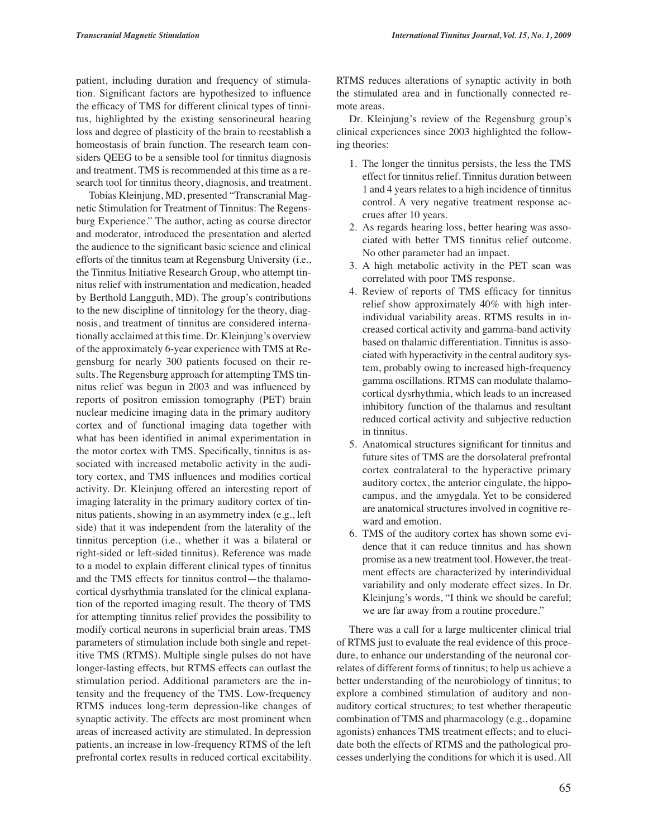patient, including duration and frequency of stimulation. Significant factors are hypothesized to influence the efficacy of TMS for different clinical types of tinnitus, highlighted by the existing sensorineural hearing loss and degree of plasticity of the brain to reestablish a homeostasis of brain function. The research team considers QEEG to be a sensible tool for tinnitus diagnosis and treatment. TMS is recommended at this time as a research tool for tinnitus theory, diagnosis, and treatment.

Tobias Kleinjung, MD, presented "Transcranial Magnetic Stimulation for Treatment of Tinnitus: The Regensburg Experience." The author, acting as course director and moderator, introduced the presentation and alerted the audience to the significant basic science and clinical efforts of the tinnitus team at Regensburg University (i.e., the Tinnitus Initiative Research Group, who attempt tinnitus relief with instrumentation and medication, headed by Berthold Langguth, MD). The group's contributions to the new discipline of tinnitology for the theory, diagnosis, and treatment of tinnitus are considered internationally acclaimed at this time. Dr. Kleinjung's overview of the approximately 6-year experience with TMS at Regensburg for nearly 300 patients focused on their results. The Regensburg approach for attempting TMS tinnitus relief was begun in 2003 and was influenced by reports of positron emission tomography (PET) brain nuclear medicine imaging data in the primary auditory cortex and of functional imaging data together with what has been identified in animal experimentation in the motor cortex with TMS. Specifically, tinnitus is associated with increased metabolic activity in the auditory cortex, and TMS influences and modifies cortical activity. Dr. Kleinjung offered an interesting report of imaging laterality in the primary auditory cortex of tinnitus patients, showing in an asymmetry index (e.g., left side) that it was independent from the laterality of the tinnitus perception (i.e., whether it was a bilateral or right-sided or left-sided tinnitus). Reference was made to a model to explain different clinical types of tinnitus and the TMS effects for tinnitus control—the thalamocortical dysrhythmia translated for the clinical explanation of the reported imaging result. The theory of TMS for attempting tinnitus relief provides the possibility to modify cortical neurons in superficial brain areas. TMS parameters of stimulation include both single and repetitive TMS (RTMS). Multiple single pulses do not have longer-lasting effects, but RTMS effects can outlast the stimulation period. Additional parameters are the intensity and the frequency of the TMS. Low-frequency RTMS induces long-term depression-like changes of synaptic activity. The effects are most prominent when areas of increased activity are stimulated. In depression patients, an increase in low-frequency RTMS of the left prefrontal cortex results in reduced cortical excitability. RTMS reduces alterations of synaptic activity in both the stimulated area and in functionally connected remote areas.

Dr. Kleinjung's review of the Regensburg group's clinical experiences since 2003 highlighted the following theories:

- 1. The longer the tinnitus persists, the less the TMS effect for tinnitus relief. Tinnitus duration between 1 and 4 years relates to a high incidence of tinnitus control. A very negative treatment response accrues after 10 years.
- 2. As regards hearing loss, better hearing was associated with better TMS tinnitus relief outcome. No other parameter had an impact.
- 3. A high metabolic activity in the PET scan was correlated with poor TMS response.
- 4. Review of reports of TMS efficacy for tinnitus relief show approximately 40% with high interindividual variability areas. RTMS results in increased cortical activity and gamma-band activity based on thalamic differentiation. Tinnitus is associated with hyperactivity in the central auditory system, probably owing to increased high-frequency gamma oscillations. RTMS can modulate thalamocortical dysrhythmia, which leads to an increased inhibitory function of the thalamus and resultant reduced cortical activity and subjective reduction in tinnitus.
- 5. Anatomical structures significant for tinnitus and future sites of TMS are the dorsolateral prefrontal cortex contralateral to the hyperactive primary auditory cortex, the anterior cingulate, the hippocampus, and the amygdala. Yet to be considered are anatomical structures involved in cognitive reward and emotion.
- 6. TMS of the auditory cortex has shown some evidence that it can reduce tinnitus and has shown promise as a new treatment tool. However, the treatment effects are characterized by interindividual variability and only moderate effect sizes. In Dr. Kleinjung's words, "I think we should be careful; we are far away from a routine procedure."

There was a call for a large multicenter clinical trial of RTMS just to evaluate the real evidence of this procedure, to enhance our understanding of the neuronal correlates of different forms of tinnitus; to help us achieve a better understanding of the neurobiology of tinnitus; to explore a combined stimulation of auditory and nonauditory cortical structures; to test whether therapeutic combination of TMS and pharmacology (e.g., dopamine agonists) enhances TMS treatment effects; and to elucidate both the effects of RTMS and the pathological processes underlying the conditions for which it is used. All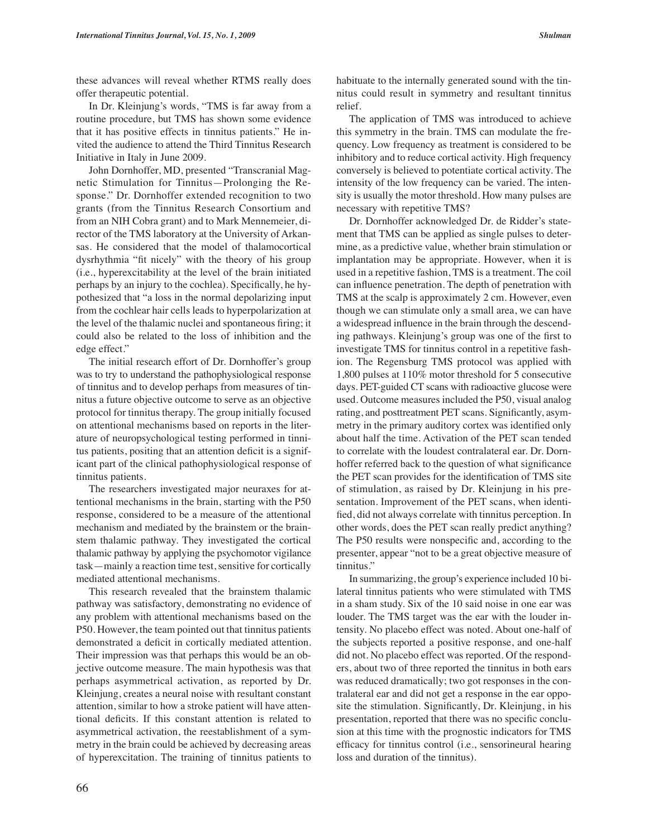these advances will reveal whether RTMS really does offer therapeutic potential.

In Dr. Kleinjung's words, "TMS is far away from a routine procedure, but TMS has shown some evidence that it has positive effects in tinnitus patients." He invited the audience to attend the Third Tinnitus Research Initiative in Italy in June 2009.

John Dornhoffer, MD, presented "Transcranial Magnetic Stimulation for Tinnitus—Prolonging the Response." Dr. Dornhoffer extended recognition to two grants (from the Tinnitus Research Consortium and from an NIH Cobra grant) and to Mark Mennemeier, director of the TMS laboratory at the University of Arkansas. He considered that the model of thalamocortical dysrhythmia "fit nicely" with the theory of his group (i.e., hyperexcitability at the level of the brain initiated perhaps by an injury to the cochlea). Specifically, he hypothesized that "a loss in the normal depolarizing input from the cochlear hair cells leads to hyperpolarization at the level of the thalamic nuclei and spontaneous firing; it could also be related to the loss of inhibition and the edge effect."

The initial research effort of Dr. Dornhoffer's group was to try to understand the pathophysiological response of tinnitus and to develop perhaps from measures of tinnitus a future objective outcome to serve as an objective protocol for tinnitus therapy. The group initially focused on attentional mechanisms based on reports in the literature of neuropsychological testing performed in tinnitus patients, positing that an attention deficit is a significant part of the clinical pathophysiological response of tinnitus patients.

The researchers investigated major neuraxes for attentional mechanisms in the brain, starting with the P50 response, considered to be a measure of the attentional mechanism and mediated by the brainstem or the brainstem thalamic pathway. They investigated the cortical thalamic pathway by applying the psychomotor vigilance task—mainly a reaction time test, sensitive for cortically mediated attentional mechanisms.

This research revealed that the brainstem thalamic pathway was satisfactory, demonstrating no evidence of any problem with attentional mechanisms based on the P50. However, the team pointed out that tinnitus patients demonstrated a deficit in cortically mediated attention. Their impression was that perhaps this would be an objective outcome measure. The main hypothesis was that perhaps asymmetrical activation, as reported by Dr. Kleinjung, creates a neural noise with resultant constant attention, similar to how a stroke patient will have attentional deficits. If this constant attention is related to asymmetrical activation, the reestablishment of a symmetry in the brain could be achieved by decreasing areas of hyperexcitation. The training of tinnitus patients to habituate to the internally generated sound with the tinnitus could result in symmetry and resultant tinnitus relief.

The application of TMS was introduced to achieve this symmetry in the brain. TMS can modulate the frequency. Low frequency as treatment is considered to be inhibitory and to reduce cortical activity. High frequency conversely is believed to potentiate cortical activity. The intensity of the low frequency can be varied. The intensity is usually the motor threshold. How many pulses are necessary with repetitive TMS?

Dr. Dornhoffer acknowledged Dr. de Ridder's statement that TMS can be applied as single pulses to determine, as a predictive value, whether brain stimulation or implantation may be appropriate. However, when it is used in a repetitive fashion, TMS is a treatment. The coil can influence penetration. The depth of penetration with TMS at the scalp is approximately 2 cm. However, even though we can stimulate only a small area, we can have a widespread influence in the brain through the descending pathways. Kleinjung's group was one of the first to investigate TMS for tinnitus control in a repetitive fashion. The Regensburg TMS protocol was applied with 1,800 pulses at 110% motor threshold for 5 consecutive days. PET-guided CT scans with radioactive glucose were used. Outcome measures included the P50, visual analog rating, and posttreatment PET scans. Significantly, asymmetry in the primary auditory cortex was identified only about half the time. Activation of the PET scan tended to correlate with the loudest contralateral ear. Dr. Dornhoffer referred back to the question of what significance the PET scan provides for the identification of TMS site of stimulation, as raised by Dr. Kleinjung in his presentation. Improvement of the PET scans, when identified, did not always correlate with tinnitus perception. In other words, does the PET scan really predict anything? The P50 results were nonspecific and, according to the presenter, appear "not to be a great objective measure of tinnitus."

In summarizing, the group's experience included 10 bilateral tinnitus patients who were stimulated with TMS in a sham study. Six of the 10 said noise in one ear was louder. The TMS target was the ear with the louder intensity. No placebo effect was noted. About one-half of the subjects reported a positive response, and one-half did not. No placebo effect was reported. Of the responders, about two of three reported the tinnitus in both ears was reduced dramatically; two got responses in the contralateral ear and did not get a response in the ear opposite the stimulation. Significantly, Dr. Kleinjung, in his presentation, reported that there was no specific conclusion at this time with the prognostic indicators for TMS efficacy for tinnitus control (i.e., sensorineural hearing loss and duration of the tinnitus).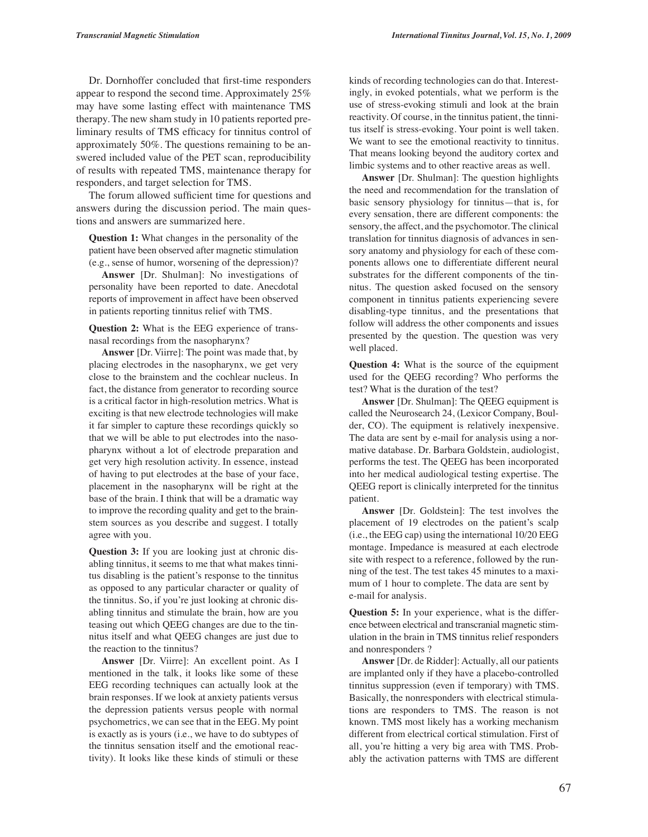Dr. Dornhoffer concluded that first-time responders appear to respond the second time. Approximately 25% may have some lasting effect with maintenance TMS therapy. The new sham study in 10 patients reported preliminary results of TMS efficacy for tinnitus control of approximately 50%. The questions remaining to be answered included value of the PET scan, reproducibility of results with repeated TMS, maintenance therapy for responders, and target selection for TMS.

The forum allowed sufficient time for questions and answers during the discussion period. The main questions and answers are summarized here.

**Question 1:** What changes in the personality of the patient have been observed after magnetic stimulation (e.g., sense of humor, worsening of the depression)?

**Answer** [Dr. Shulman]: No investigations of personality have been reported to date. Anecdotal reports of improvement in affect have been observed in patients reporting tinnitus relief with TMS.

**Question 2:** What is the EEG experience of transnasal recordings from the nasopharynx?

**Answer** [Dr. Viirre]: The point was made that, by placing electrodes in the nasopharynx, we get very close to the brainstem and the cochlear nucleus. In fact, the distance from generator to recording source is a critical factor in high-resolution metrics. What is exciting is that new electrode technologies will make it far simpler to capture these recordings quickly so that we will be able to put electrodes into the nasopharynx without a lot of electrode preparation and get very high resolution activity. In essence, instead of having to put electrodes at the base of your face, placement in the nasopharynx will be right at the base of the brain. I think that will be a dramatic way to improve the recording quality and get to the brainstem sources as you describe and suggest. I totally agree with you.

**Question 3:** If you are looking just at chronic disabling tinnitus, it seems to me that what makes tinnitus disabling is the patient's response to the tinnitus as opposed to any particular character or quality of the tinnitus. So, if you're just looking at chronic disabling tinnitus and stimulate the brain, how are you teasing out which QEEG changes are due to the tinnitus itself and what QEEG changes are just due to the reaction to the tinnitus?

**Answer** [Dr. Viirre]: An excellent point. As I mentioned in the talk, it looks like some of these EEG recording techniques can actually look at the brain responses. If we look at anxiety patients versus the depression patients versus people with normal psychometrics, we can see that in the EEG. My point is exactly as is yours (i.e., we have to do subtypes of the tinnitus sensation itself and the emotional reactivity). It looks like these kinds of stimuli or these kinds of recording technologies can do that. Interestingly, in evoked potentials, what we perform is the use of stress-evoking stimuli and look at the brain reactivity. Of course, in the tinnitus patient, the tinnitus itself is stress-evoking. Your point is well taken. We want to see the emotional reactivity to tinnitus. That means looking beyond the auditory cortex and limbic systems and to other reactive areas as well.

**Answer** [Dr. Shulman]: The question highlights the need and recommendation for the translation of basic sensory physiology for tinnitus—that is, for every sensation, there are different components: the sensory, the affect, and the psychomotor. The clinical translation for tinnitus diagnosis of advances in sensory anatomy and physiology for each of these components allows one to differentiate different neural substrates for the different components of the tinnitus. The question asked focused on the sensory component in tinnitus patients experiencing severe disabling-type tinnitus, and the presentations that follow will address the other components and issues presented by the question. The question was very well placed.

**Question 4:** What is the source of the equipment used for the QEEG recording? Who performs the test? What is the duration of the test?

**Answer** [Dr. Shulman]: The QEEG equipment is called the Neurosearch 24, (Lexicor Company, Boulder, CO). The equipment is relatively inexpensive. The data are sent by e-mail for analysis using a normative database. Dr. Barbara Goldstein, audiologist, performs the test. The QEEG has been incorporated into her medical audiological testing expertise. The QEEG report is clinically interpreted for the tinnitus patient.

**Answer** [Dr. Goldstein]: The test involves the placement of 19 electrodes on the patient's scalp (i.e., the EEG cap) using the international 10/20 EEG montage. Impedance is measured at each electrode site with respect to a reference, followed by the running of the test. The test takes 45 minutes to a maximum of 1 hour to complete. The data are sent by e-mail for analysis.

**Question 5:** In your experience, what is the difference between electrical and transcranial magnetic stimulation in the brain in TMS tinnitus relief responders and nonresponders ?

**Answer** [Dr. de Ridder]: Actually, all our patients are implanted only if they have a placebo-controlled tinnitus suppression (even if temporary) with TMS. Basically, the nonresponders with electrical stimulations are responders to TMS. The reason is not known. TMS most likely has a working mechanism different from electrical cortical stimulation. First of all, you're hitting a very big area with TMS. Probably the activation patterns with TMS are different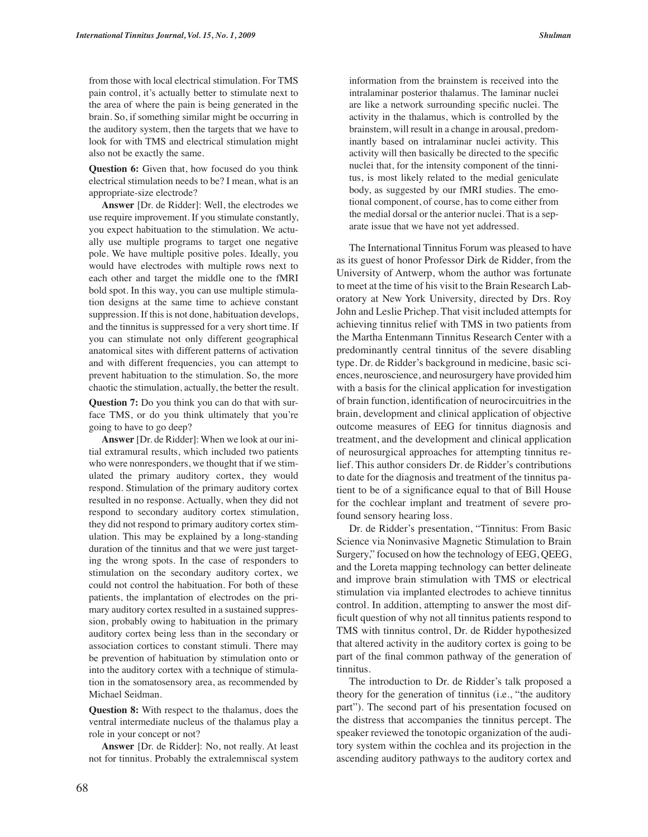from those with local electrical stimulation. For TMS pain control, it's actually better to stimulate next to the area of where the pain is being generated in the brain. So, if something similar might be occurring in the auditory system, then the targets that we have to look for with TMS and electrical stimulation might also not be exactly the same.

**Question 6:** Given that, how focused do you think electrical stimulation needs to be? I mean, what is an appropriate-size electrode?

**Answer** [Dr. de Ridder]: Well, the electrodes we use require improvement. If you stimulate constantly, you expect habituation to the stimulation. We actually use multiple programs to target one negative pole. We have multiple positive poles. Ideally, you would have electrodes with multiple rows next to each other and target the middle one to the fMRI bold spot. In this way, you can use multiple stimulation designs at the same time to achieve constant suppression. If this is not done, habituation develops, and the tinnitus is suppressed for a very short time. If you can stimulate not only different geographical anatomical sites with different patterns of activation and with different frequencies, you can attempt to prevent habituation to the stimulation. So, the more chaotic the stimulation, actually, the better the result.

**Question 7:** Do you think you can do that with surface TMS, or do you think ultimately that you're going to have to go deep?

**Answer** [Dr. de Ridder]: When we look at our initial extramural results, which included two patients who were nonresponders, we thought that if we stimulated the primary auditory cortex, they would respond. Stimulation of the primary auditory cortex resulted in no response. Actually, when they did not respond to secondary auditory cortex stimulation, they did not respond to primary auditory cortex stimulation. This may be explained by a long-standing duration of the tinnitus and that we were just targeting the wrong spots. In the case of responders to stimulation on the secondary auditory cortex, we could not control the habituation. For both of these patients, the implantation of electrodes on the primary auditory cortex resulted in a sustained suppression, probably owing to habituation in the primary auditory cortex being less than in the secondary or association cortices to constant stimuli. There may be prevention of habituation by stimulation onto or into the auditory cortex with a technique of stimulation in the somatosensory area, as recommended by Michael Seidman.

**Question 8:** With respect to the thalamus, does the ventral intermediate nucleus of the thalamus play a role in your concept or not?

**Answer** [Dr. de Ridder]: No, not really. At least not for tinnitus. Probably the extralemniscal system information from the brainstem is received into the intralaminar posterior thalamus. The laminar nuclei are like a network surrounding specific nuclei. The activity in the thalamus, which is controlled by the brainstem, will result in a change in arousal, predominantly based on intralaminar nuclei activity. This activity will then basically be directed to the specific nuclei that, for the intensity component of the tinnitus, is most likely related to the medial geniculate body, as suggested by our fMRI studies. The emotional component, of course, has to come either from the medial dorsal or the anterior nuclei. That is a separate issue that we have not yet addressed.

The International Tinnitus Forum was pleased to have as its guest of honor Professor Dirk de Ridder, from the University of Antwerp, whom the author was fortunate to meet at the time of his visit to the Brain Research Laboratory at New York University, directed by Drs. Roy John and Leslie Prichep. That visit included attempts for achieving tinnitus relief with TMS in two patients from the Martha Entenmann Tinnitus Research Center with a predominantly central tinnitus of the severe disabling type. Dr. de Ridder's background in medicine, basic sciences, neuroscience, and neurosurgery have provided him with a basis for the clinical application for investigation of brain function, identification of neurocircuitries in the brain, development and clinical application of objective outcome measures of EEG for tinnitus diagnosis and treatment, and the development and clinical application of neurosurgical approaches for attempting tinnitus relief. This author considers Dr. de Ridder's contributions to date for the diagnosis and treatment of the tinnitus patient to be of a significance equal to that of Bill House for the cochlear implant and treatment of severe profound sensory hearing loss.

Dr. de Ridder's presentation, "Tinnitus: From Basic Science via Noninvasive Magnetic Stimulation to Brain Surgery," focused on how the technology of EEG, QEEG, and the Loreta mapping technology can better delineate and improve brain stimulation with TMS or electrical stimulation via implanted electrodes to achieve tinnitus control. In addition, attempting to answer the most difficult question of why not all tinnitus patients respond to TMS with tinnitus control, Dr. de Ridder hypothesized that altered activity in the auditory cortex is going to be part of the final common pathway of the generation of tinnitus.

The introduction to Dr. de Ridder's talk proposed a theory for the generation of tinnitus (i.e., "the auditory part"). The second part of his presentation focused on the distress that accompanies the tinnitus percept. The speaker reviewed the tonotopic organization of the auditory system within the cochlea and its projection in the ascending auditory pathways to the auditory cortex and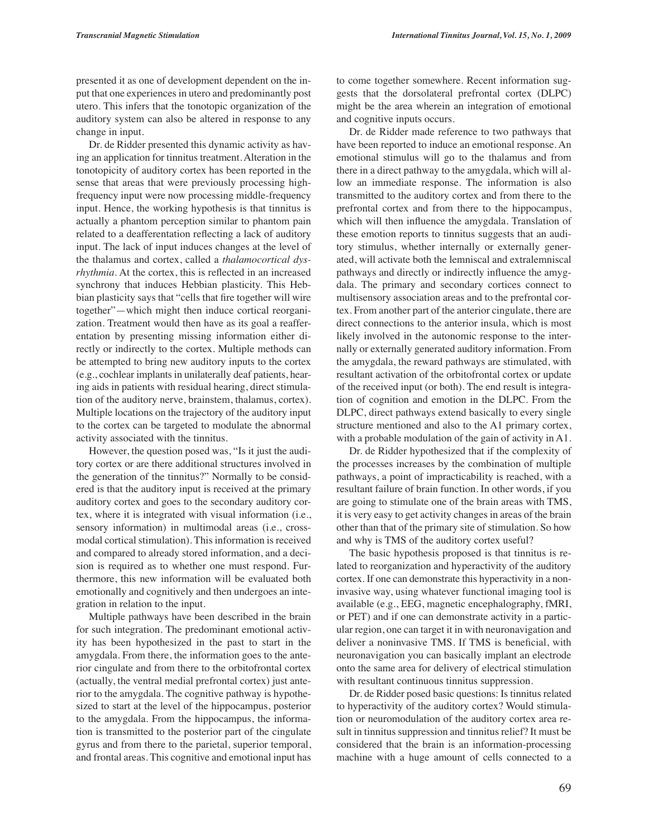presented it as one of development dependent on the input that one experiences in utero and predominantly post utero. This infers that the tonotopic organization of the auditory system can also be altered in response to any change in input.

Dr. de Ridder presented this dynamic activity as having an application for tinnitus treatment. Alteration in the tonotopicity of auditory cortex has been reported in the sense that areas that were previously processing highfrequency input were now processing middle-frequency input. Hence, the working hypothesis is that tinnitus is actually a phantom perception similar to phantom pain related to a deafferentation reflecting a lack of auditory input. The lack of input induces changes at the level of the thalamus and cortex, called a *thalamocortical dysrhythmia*. At the cortex, this is reflected in an increased synchrony that induces Hebbian plasticity. This Hebbian plasticity says that "cells that fire together will wire together"—which might then induce cortical reorganization. Treatment would then have as its goal a reafferentation by presenting missing information either directly or indirectly to the cortex. Multiple methods can be attempted to bring new auditory inputs to the cortex (e.g., cochlear implants in unilaterally deaf patients, hearing aids in patients with residual hearing, direct stimulation of the auditory nerve, brainstem, thalamus, cortex). Multiple locations on the trajectory of the auditory input to the cortex can be targeted to modulate the abnormal activity associated with the tinnitus.

However, the question posed was, "Is it just the auditory cortex or are there additional structures involved in the generation of the tinnitus?" Normally to be considered is that the auditory input is received at the primary auditory cortex and goes to the secondary auditory cortex, where it is integrated with visual information (i.e., sensory information) in multimodal areas (i.e., crossmodal cortical stimulation). This information is received and compared to already stored information, and a decision is required as to whether one must respond. Furthermore, this new information will be evaluated both emotionally and cognitively and then undergoes an integration in relation to the input.

Multiple pathways have been described in the brain for such integration. The predominant emotional activity has been hypothesized in the past to start in the amygdala. From there, the information goes to the anterior cingulate and from there to the orbitofrontal cortex (actually, the ventral medial prefrontal cortex) just anterior to the amygdala. The cognitive pathway is hypothesized to start at the level of the hippocampus, posterior to the amygdala. From the hippocampus, the information is transmitted to the posterior part of the cingulate gyrus and from there to the parietal, superior temporal, and frontal areas. This cognitive and emotional input has

to come together somewhere. Recent information suggests that the dorsolateral prefrontal cortex (DLPC) might be the area wherein an integration of emotional and cognitive inputs occurs.

Dr. de Ridder made reference to two pathways that have been reported to induce an emotional response. An emotional stimulus will go to the thalamus and from there in a direct pathway to the amygdala, which will allow an immediate response. The information is also transmitted to the auditory cortex and from there to the prefrontal cortex and from there to the hippocampus, which will then influence the amygdala. Translation of these emotion reports to tinnitus suggests that an auditory stimulus, whether internally or externally generated, will activate both the lemniscal and extralemniscal pathways and directly or indirectly influence the amygdala. The primary and secondary cortices connect to multisensory association areas and to the prefrontal cortex. From another part of the anterior cingulate, there are direct connections to the anterior insula, which is most likely involved in the autonomic response to the internally or externally generated auditory information. From the amygdala, the reward pathways are stimulated, with resultant activation of the orbitofrontal cortex or update of the received input (or both). The end result is integration of cognition and emotion in the DLPC. From the DLPC, direct pathways extend basically to every single structure mentioned and also to the A1 primary cortex, with a probable modulation of the gain of activity in A1.

Dr. de Ridder hypothesized that if the complexity of the processes increases by the combination of multiple pathways, a point of impracticability is reached, with a resultant failure of brain function. In other words, if you are going to stimulate one of the brain areas with TMS, it is very easy to get activity changes in areas of the brain other than that of the primary site of stimulation. So how and why is TMS of the auditory cortex useful?

The basic hypothesis proposed is that tinnitus is related to reorganization and hyperactivity of the auditory cortex. If one can demonstrate this hyperactivity in a noninvasive way, using whatever functional imaging tool is available (e.g., EEG, magnetic encephalography, fMRI, or PET) and if one can demonstrate activity in a particular region, one can target it in with neuronavigation and deliver a noninvasive TMS. If TMS is beneficial, with neuronavigation you can basically implant an electrode onto the same area for delivery of electrical stimulation with resultant continuous tinnitus suppression.

Dr. de Ridder posed basic questions: Is tinnitus related to hyperactivity of the auditory cortex? Would stimulation or neuromodulation of the auditory cortex area result in tinnitus suppression and tinnitus relief? It must be considered that the brain is an information-processing machine with a huge amount of cells connected to a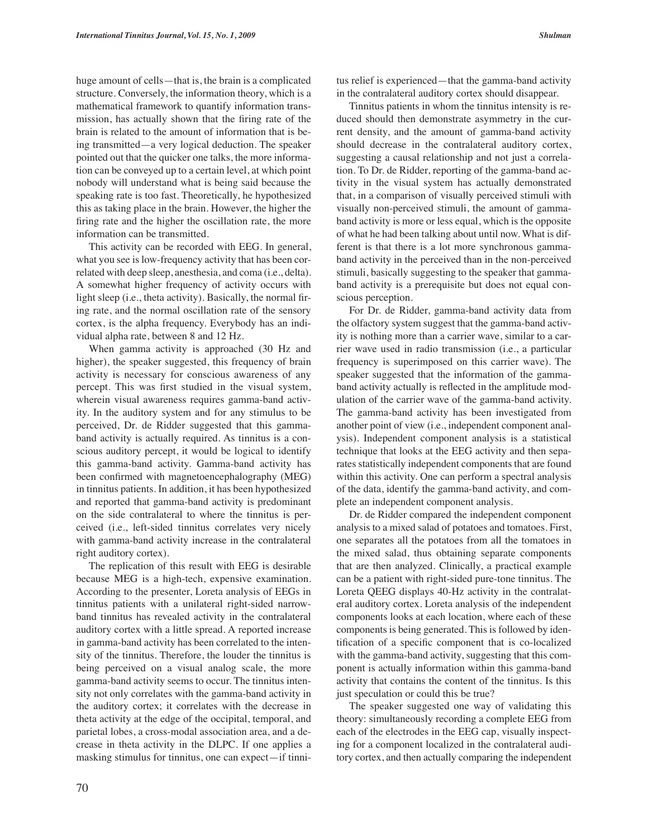huge amount of cells—that is, the brain is a complicated structure. Conversely, the information theory, which is a mathematical framework to quantify information transmission, has actually shown that the firing rate of the brain is related to the amount of information that is being transmitted—a very logical deduction. The speaker pointed out that the quicker one talks, the more information can be conveyed up to a certain level, at which point nobody will understand what is being said because the speaking rate is too fast. Theoretically, he hypothesized this as taking place in the brain. However, the higher the firing rate and the higher the oscillation rate, the more information can be transmitted.

This activity can be recorded with EEG. In general, what you see is low-frequency activity that has been correlated with deep sleep, anesthesia, and coma (i.e., delta). A somewhat higher frequency of activity occurs with light sleep (i.e., theta activity). Basically, the normal firing rate, and the normal oscillation rate of the sensory cortex, is the alpha frequency. Everybody has an individual alpha rate, between 8 and 12 Hz.

When gamma activity is approached (30 Hz and higher), the speaker suggested, this frequency of brain activity is necessary for conscious awareness of any percept. This was first studied in the visual system, wherein visual awareness requires gamma-band activity. In the auditory system and for any stimulus to be perceived, Dr. de Ridder suggested that this gammaband activity is actually required. As tinnitus is a conscious auditory percept, it would be logical to identify this gamma-band activity. Gamma-band activity has been confirmed with magnetoencephalography (MEG) in tinnitus patients. In addition, it has been hypothesized and reported that gamma-band activity is predominant on the side contralateral to where the tinnitus is perceived (i.e., left-sided tinnitus correlates very nicely with gamma-band activity increase in the contralateral right auditory cortex).

The replication of this result with EEG is desirable because MEG is a high-tech, expensive examination. According to the presenter, Loreta analysis of EEGs in tinnitus patients with a unilateral right-sided narrowband tinnitus has revealed activity in the contralateral auditory cortex with a little spread. A reported increase in gamma-band activity has been correlated to the intensity of the tinnitus. Therefore, the louder the tinnitus is being perceived on a visual analog scale, the more gamma-band activity seems to occur. The tinnitus intensity not only correlates with the gamma-band activity in the auditory cortex; it correlates with the decrease in theta activity at the edge of the occipital, temporal, and parietal lobes, a cross-modal association area, and a decrease in theta activity in the DLPC. If one applies a masking stimulus for tinnitus, one can expect—if tinnitus relief is experienced—that the gamma-band activity in the contralateral auditory cortex should disappear.

Tinnitus patients in whom the tinnitus intensity is reduced should then demonstrate asymmetry in the current density, and the amount of gamma-band activity should decrease in the contralateral auditory cortex, suggesting a causal relationship and not just a correlation. To Dr. de Ridder, reporting of the gamma-band activity in the visual system has actually demonstrated that, in a comparison of visually perceived stimuli with visually non-perceived stimuli, the amount of gammaband activity is more or less equal, which is the opposite of what he had been talking about until now. What is different is that there is a lot more synchronous gammaband activity in the perceived than in the non-perceived stimuli, basically suggesting to the speaker that gammaband activity is a prerequisite but does not equal conscious perception.

For Dr. de Ridder, gamma-band activity data from the olfactory system suggest that the gamma-band activity is nothing more than a carrier wave, similar to a carrier wave used in radio transmission (i.e., a particular frequency is superimposed on this carrier wave). The speaker suggested that the information of the gammaband activity actually is reflected in the amplitude modulation of the carrier wave of the gamma-band activity. The gamma-band activity has been investigated from another point of view (i.e., independent component analysis). Independent component analysis is a statistical technique that looks at the EEG activity and then separates statistically independent components that are found within this activity. One can perform a spectral analysis of the data, identify the gamma-band activity, and complete an independent component analysis.

Dr. de Ridder compared the independent component analysis to a mixed salad of potatoes and tomatoes. First, one separates all the potatoes from all the tomatoes in the mixed salad, thus obtaining separate components that are then analyzed. Clinically, a practical example can be a patient with right-sided pure-tone tinnitus. The Loreta QEEG displays 40-Hz activity in the contralateral auditory cortex. Loreta analysis of the independent components looks at each location, where each of these components is being generated. This is followed by identification of a specific component that is co-localized with the gamma-band activity, suggesting that this component is actually information within this gamma-band activity that contains the content of the tinnitus. Is this just speculation or could this be true?

The speaker suggested one way of validating this theory: simultaneously recording a complete EEG from each of the electrodes in the EEG cap, visually inspecting for a component localized in the contralateral auditory cortex, and then actually comparing the independent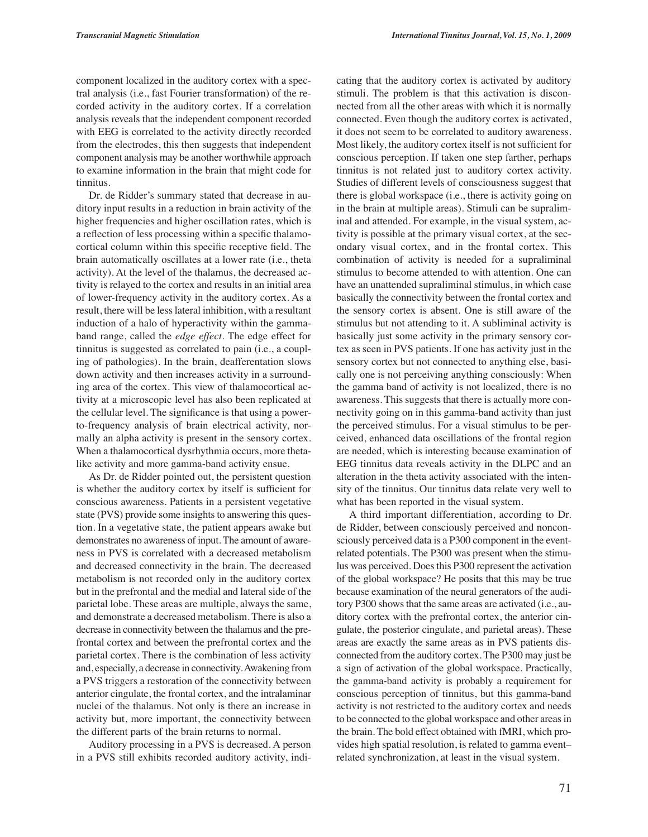component localized in the auditory cortex with a spectral analysis (i.e., fast Fourier transformation) of the recorded activity in the auditory cortex. If a correlation analysis reveals that the independent component recorded with EEG is correlated to the activity directly recorded from the electrodes, this then suggests that independent component analysis may be another worthwhile approach to examine information in the brain that might code for tinnitus.

Dr. de Ridder's summary stated that decrease in auditory input results in a reduction in brain activity of the higher frequencies and higher oscillation rates, which is a reflection of less processing within a specific thalamocortical column within this specific receptive field. The brain automatically oscillates at a lower rate (i.e., theta activity). At the level of the thalamus, the decreased activity is relayed to the cortex and results in an initial area of lower-frequency activity in the auditory cortex. As a result, there will be less lateral inhibition, with a resultant induction of a halo of hyperactivity within the gammaband range, called the *edge effect*. The edge effect for tinnitus is suggested as correlated to pain (i.e., a coupling of pathologies). In the brain, deafferentation slows down activity and then increases activity in a surrounding area of the cortex. This view of thalamocortical activity at a microscopic level has also been replicated at the cellular level. The significance is that using a powerto-frequency analysis of brain electrical activity, normally an alpha activity is present in the sensory cortex. When a thalamocortical dysrhythmia occurs, more thetalike activity and more gamma-band activity ensue.

As Dr. de Ridder pointed out, the persistent question is whether the auditory cortex by itself is sufficient for conscious awareness. Patients in a persistent vegetative state (PVS) provide some insights to answering this question. In a vegetative state, the patient appears awake but demonstrates no awareness of input. The amount of awareness in PVS is correlated with a decreased metabolism and decreased connectivity in the brain. The decreased metabolism is not recorded only in the auditory cortex but in the prefrontal and the medial and lateral side of the parietal lobe. These areas are multiple, always the same, and demonstrate a decreased metabolism. There is also a decrease in connectivity between the thalamus and the prefrontal cortex and between the prefrontal cortex and the parietal cortex. There is the combination of less activity and, especially, a decrease in connectivity. Awakening from a PVS triggers a restoration of the connectivity between anterior cingulate, the frontal cortex, and the intralaminar nuclei of the thalamus. Not only is there an increase in activity but, more important, the connectivity between the different parts of the brain returns to normal.

Auditory processing in a PVS is decreased. A person in a PVS still exhibits recorded auditory activity, indi-

cating that the auditory cortex is activated by auditory stimuli. The problem is that this activation is disconnected from all the other areas with which it is normally connected. Even though the auditory cortex is activated, it does not seem to be correlated to auditory awareness. Most likely, the auditory cortex itself is not sufficient for conscious perception. If taken one step farther, perhaps tinnitus is not related just to auditory cortex activity. Studies of different levels of consciousness suggest that there is global workspace (i.e., there is activity going on in the brain at multiple areas). Stimuli can be supraliminal and attended. For example, in the visual system, activity is possible at the primary visual cortex, at the secondary visual cortex, and in the frontal cortex. This combination of activity is needed for a supraliminal stimulus to become attended to with attention. One can have an unattended supraliminal stimulus, in which case basically the connectivity between the frontal cortex and the sensory cortex is absent. One is still aware of the stimulus but not attending to it. A subliminal activity is basically just some activity in the primary sensory cortex as seen in PVS patients. If one has activity just in the sensory cortex but not connected to anything else, basically one is not perceiving anything consciously: When the gamma band of activity is not localized, there is no awareness. This suggests that there is actually more connectivity going on in this gamma-band activity than just the perceived stimulus. For a visual stimulus to be perceived, enhanced data oscillations of the frontal region are needed, which is interesting because examination of EEG tinnitus data reveals activity in the DLPC and an alteration in the theta activity associated with the intensity of the tinnitus. Our tinnitus data relate very well to what has been reported in the visual system.

A third important differentiation, according to Dr. de Ridder, between consciously perceived and nonconsciously perceived data is a P300 component in the eventrelated potentials. The P300 was present when the stimulus was perceived. Does this P300 represent the activation of the global workspace? He posits that this may be true because examination of the neural generators of the auditory P300 shows that the same areas are activated (i.e., auditory cortex with the prefrontal cortex, the anterior cingulate, the posterior cingulate, and parietal areas). These areas are exactly the same areas as in PVS patients disconnected from the auditory cortex. The P300 may just be a sign of activation of the global workspace. Practically, the gamma-band activity is probably a requirement for conscious perception of tinnitus, but this gamma-band activity is not restricted to the auditory cortex and needs to be connected to the global workspace and other areas in the brain. The bold effect obtained with fMRI, which provides high spatial resolution, is related to gamma event– related synchronization, at least in the visual system.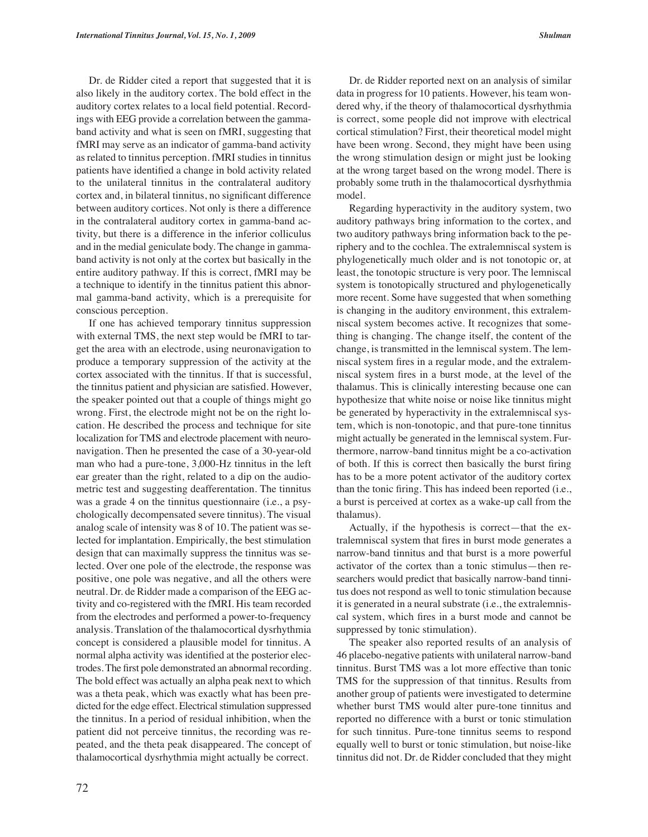Dr. de Ridder cited a report that suggested that it is also likely in the auditory cortex. The bold effect in the auditory cortex relates to a local field potential. Recordings with EEG provide a correlation between the gammaband activity and what is seen on fMRI, suggesting that fMRI may serve as an indicator of gamma-band activity as related to tinnitus perception. fMRI studies in tinnitus patients have identified a change in bold activity related to the unilateral tinnitus in the contralateral auditory cortex and, in bilateral tinnitus, no significant difference between auditory cortices. Not only is there a difference in the contralateral auditory cortex in gamma-band activity, but there is a difference in the inferior colliculus and in the medial geniculate body. The change in gammaband activity is not only at the cortex but basically in the entire auditory pathway. If this is correct, fMRI may be a technique to identify in the tinnitus patient this abnormal gamma-band activity, which is a prerequisite for conscious perception.

If one has achieved temporary tinnitus suppression with external TMS, the next step would be fMRI to target the area with an electrode, using neuronavigation to produce a temporary suppression of the activity at the cortex associated with the tinnitus. If that is successful, the tinnitus patient and physician are satisfied. However, the speaker pointed out that a couple of things might go wrong. First, the electrode might not be on the right location. He described the process and technique for site localization for TMS and electrode placement with neuronavigation. Then he presented the case of a 30-year-old man who had a pure-tone, 3,000-Hz tinnitus in the left ear greater than the right, related to a dip on the audiometric test and suggesting deafferentation. The tinnitus was a grade 4 on the tinnitus questionnaire (i.e., a psychologically decompensated severe tinnitus). The visual analog scale of intensity was 8 of 10. The patient was selected for implantation. Empirically, the best stimulation design that can maximally suppress the tinnitus was selected. Over one pole of the electrode, the response was positive, one pole was negative, and all the others were neutral. Dr. de Ridder made a comparison of the EEG activity and co-registered with the fMRI. His team recorded from the electrodes and performed a power-to-frequency analysis. Translation of the thalamocortical dysrhythmia concept is considered a plausible model for tinnitus. A normal alpha activity was identified at the posterior electrodes. The first pole demonstrated an abnormal recording. The bold effect was actually an alpha peak next to which was a theta peak, which was exactly what has been predicted for the edge effect. Electrical stimulation suppressed the tinnitus. In a period of residual inhibition, when the patient did not perceive tinnitus, the recording was repeated, and the theta peak disappeared. The concept of thalamocortical dysrhythmia might actually be correct.

Dr. de Ridder reported next on an analysis of similar data in progress for 10 patients. However, his team wondered why, if the theory of thalamocortical dysrhythmia is correct, some people did not improve with electrical cortical stimulation? First, their theoretical model might have been wrong. Second, they might have been using the wrong stimulation design or might just be looking at the wrong target based on the wrong model. There is probably some truth in the thalamocortical dysrhythmia model.

Regarding hyperactivity in the auditory system, two auditory pathways bring information to the cortex, and two auditory pathways bring information back to the periphery and to the cochlea. The extralemniscal system is phylogenetically much older and is not tonotopic or, at least, the tonotopic structure is very poor. The lemniscal system is tonotopically structured and phylogenetically more recent. Some have suggested that when something is changing in the auditory environment, this extralemniscal system becomes active. It recognizes that something is changing. The change itself, the content of the change, is transmitted in the lemniscal system. The lemniscal system fires in a regular mode, and the extralemniscal system fires in a burst mode, at the level of the thalamus. This is clinically interesting because one can hypothesize that white noise or noise like tinnitus might be generated by hyperactivity in the extralemniscal system, which is non-tonotopic, and that pure-tone tinnitus might actually be generated in the lemniscal system. Furthermore, narrow-band tinnitus might be a co-activation of both. If this is correct then basically the burst firing has to be a more potent activator of the auditory cortex than the tonic firing. This has indeed been reported (i.e., a burst is perceived at cortex as a wake-up call from the thalamus).

Actually, if the hypothesis is correct—that the extralemniscal system that fires in burst mode generates a narrow-band tinnitus and that burst is a more powerful activator of the cortex than a tonic stimulus—then researchers would predict that basically narrow-band tinnitus does not respond as well to tonic stimulation because it is generated in a neural substrate (i.e., the extralemniscal system, which fires in a burst mode and cannot be suppressed by tonic stimulation).

The speaker also reported results of an analysis of 46 placebo-negative patients with unilateral narrow-band tinnitus. Burst TMS was a lot more effective than tonic TMS for the suppression of that tinnitus. Results from another group of patients were investigated to determine whether burst TMS would alter pure-tone tinnitus and reported no difference with a burst or tonic stimulation for such tinnitus. Pure-tone tinnitus seems to respond equally well to burst or tonic stimulation, but noise-like tinnitus did not. Dr. de Ridder concluded that they might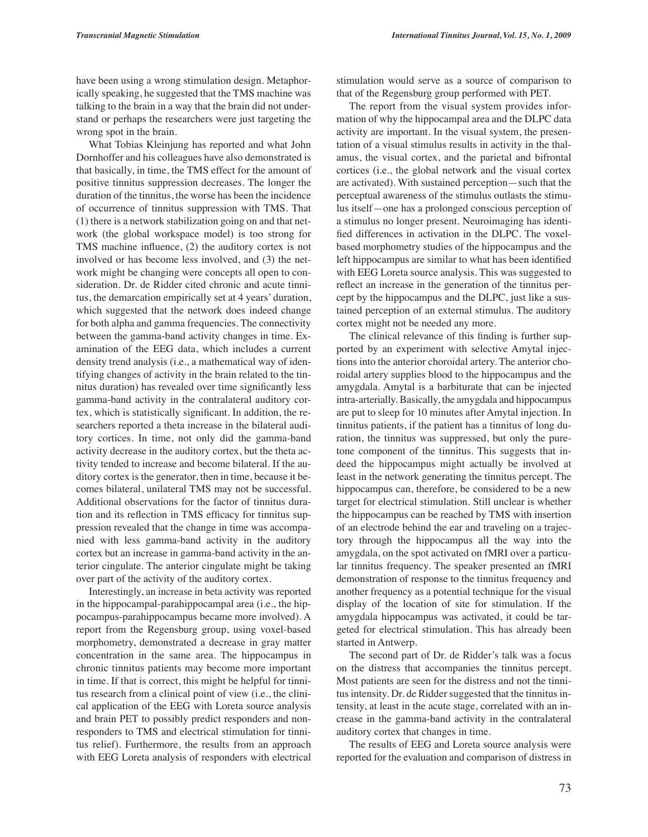have been using a wrong stimulation design. Metaphorically speaking, he suggested that the TMS machine was talking to the brain in a way that the brain did not understand or perhaps the researchers were just targeting the wrong spot in the brain.

What Tobias Kleinjung has reported and what John Dornhoffer and his colleagues have also demonstrated is that basically, in time, the TMS effect for the amount of positive tinnitus suppression decreases. The longer the duration of the tinnitus, the worse has been the incidence of occurrence of tinnitus suppression with TMS. That (1) there is a network stabilization going on and that network (the global workspace model) is too strong for TMS machine influence, (2) the auditory cortex is not involved or has become less involved, and (3) the network might be changing were concepts all open to consideration. Dr. de Ridder cited chronic and acute tinnitus, the demarcation empirically set at 4 years' duration, which suggested that the network does indeed change for both alpha and gamma frequencies. The connectivity between the gamma-band activity changes in time. Examination of the EEG data, which includes a current density trend analysis (i.e., a mathematical way of identifying changes of activity in the brain related to the tinnitus duration) has revealed over time significantly less gamma-band activity in the contralateral auditory cortex, which is statistically significant. In addition, the researchers reported a theta increase in the bilateral auditory cortices. In time, not only did the gamma-band activity decrease in the auditory cortex, but the theta activity tended to increase and become bilateral. If the auditory cortex is the generator, then in time, because it becomes bilateral, unilateral TMS may not be successful. Additional observations for the factor of tinnitus duration and its reflection in TMS efficacy for tinnitus suppression revealed that the change in time was accompanied with less gamma-band activity in the auditory cortex but an increase in gamma-band activity in the anterior cingulate. The anterior cingulate might be taking over part of the activity of the auditory cortex.

Interestingly, an increase in beta activity was reported in the hippocampal-parahippocampal area (i.e., the hippocampus-parahippocampus became more involved). A report from the Regensburg group, using voxel-based morphometry, demonstrated a decrease in gray matter concentration in the same area. The hippocampus in chronic tinnitus patients may become more important in time. If that is correct, this might be helpful for tinnitus research from a clinical point of view (i.e., the clinical application of the EEG with Loreta source analysis and brain PET to possibly predict responders and nonresponders to TMS and electrical stimulation for tinnitus relief). Furthermore, the results from an approach with EEG Loreta analysis of responders with electrical

stimulation would serve as a source of comparison to that of the Regensburg group performed with PET.

The report from the visual system provides information of why the hippocampal area and the DLPC data activity are important. In the visual system, the presentation of a visual stimulus results in activity in the thalamus, the visual cortex, and the parietal and bifrontal cortices (i.e., the global network and the visual cortex are activated). With sustained perception—such that the perceptual awareness of the stimulus outlasts the stimulus itself—one has a prolonged conscious perception of a stimulus no longer present. Neuroimaging has identified differences in activation in the DLPC. The voxelbased morphometry studies of the hippocampus and the left hippocampus are similar to what has been identified with EEG Loreta source analysis. This was suggested to reflect an increase in the generation of the tinnitus percept by the hippocampus and the DLPC, just like a sustained perception of an external stimulus. The auditory cortex might not be needed any more.

The clinical relevance of this finding is further supported by an experiment with selective Amytal injections into the anterior choroidal artery. The anterior choroidal artery supplies blood to the hippocampus and the amygdala. Amytal is a barbiturate that can be injected intra-arterially. Basically, the amygdala and hippocampus are put to sleep for 10 minutes after Amytal injection. In tinnitus patients, if the patient has a tinnitus of long duration, the tinnitus was suppressed, but only the puretone component of the tinnitus. This suggests that indeed the hippocampus might actually be involved at least in the network generating the tinnitus percept. The hippocampus can, therefore, be considered to be a new target for electrical stimulation. Still unclear is whether the hippocampus can be reached by TMS with insertion of an electrode behind the ear and traveling on a trajectory through the hippocampus all the way into the amygdala, on the spot activated on fMRI over a particular tinnitus frequency. The speaker presented an fMRI demonstration of response to the tinnitus frequency and another frequency as a potential technique for the visual display of the location of site for stimulation. If the amygdala hippocampus was activated, it could be targeted for electrical stimulation. This has already been started in Antwerp.

The second part of Dr. de Ridder's talk was a focus on the distress that accompanies the tinnitus percept. Most patients are seen for the distress and not the tinnitus intensity. Dr. de Ridder suggested that the tinnitus intensity, at least in the acute stage, correlated with an increase in the gamma-band activity in the contralateral auditory cortex that changes in time.

The results of EEG and Loreta source analysis were reported for the evaluation and comparison of distress in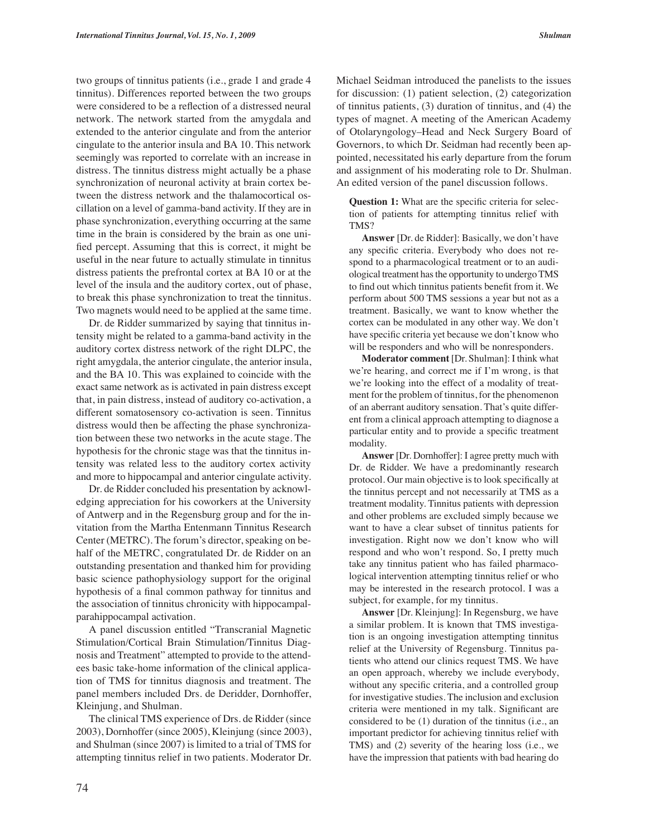two groups of tinnitus patients (i.e., grade 1 and grade 4 tinnitus). Differences reported between the two groups were considered to be a reflection of a distressed neural network. The network started from the amygdala and extended to the anterior cingulate and from the anterior cingulate to the anterior insula and BA 10. This network seemingly was reported to correlate with an increase in distress. The tinnitus distress might actually be a phase synchronization of neuronal activity at brain cortex between the distress network and the thalamocortical oscillation on a level of gamma-band activity. If they are in phase synchronization, everything occurring at the same time in the brain is considered by the brain as one unified percept. Assuming that this is correct, it might be useful in the near future to actually stimulate in tinnitus distress patients the prefrontal cortex at BA 10 or at the level of the insula and the auditory cortex, out of phase, to break this phase synchronization to treat the tinnitus. Two magnets would need to be applied at the same time.

Dr. de Ridder summarized by saying that tinnitus intensity might be related to a gamma-band activity in the auditory cortex distress network of the right DLPC, the right amygdala, the anterior cingulate, the anterior insula, and the BA 10. This was explained to coincide with the exact same network as is activated in pain distress except that, in pain distress, instead of auditory co-activation, a different somatosensory co-activation is seen. Tinnitus distress would then be affecting the phase synchronization between these two networks in the acute stage. The hypothesis for the chronic stage was that the tinnitus intensity was related less to the auditory cortex activity and more to hippocampal and anterior cingulate activity.

Dr. de Ridder concluded his presentation by acknowledging appreciation for his coworkers at the University of Antwerp and in the Regensburg group and for the invitation from the Martha Entenmann Tinnitus Research Center (METRC). The forum's director, speaking on behalf of the METRC, congratulated Dr. de Ridder on an outstanding presentation and thanked him for providing basic science pathophysiology support for the original hypothesis of a final common pathway for tinnitus and the association of tinnitus chronicity with hippocampalparahippocampal activation.

A panel discussion entitled "Transcranial Magnetic Stimulation/Cortical Brain Stimulation/Tinnitus Diagnosis and Treatment" attempted to provide to the attendees basic take-home information of the clinical application of TMS for tinnitus diagnosis and treatment. The panel members included Drs. de Deridder, Dornhoffer, Kleinjung, and Shulman.

The clinical TMS experience of Drs. de Ridder (since 2003), Dornhoffer (since 2005), Kleinjung (since 2003), and Shulman (since 2007) is limited to a trial of TMS for attempting tinnitus relief in two patients. Moderator Dr.

Michael Seidman introduced the panelists to the issues for discussion: (1) patient selection, (2) categorization of tinnitus patients, (3) duration of tinnitus, and (4) the types of magnet. A meeting of the American Academy of Otolaryngology–Head and Neck Surgery Board of Governors, to which Dr. Seidman had recently been appointed, necessitated his early departure from the forum and assignment of his moderating role to Dr. Shulman. An edited version of the panel discussion follows.

**Question 1:** What are the specific criteria for selection of patients for attempting tinnitus relief with TMS?

**Answer** [Dr. de Ridder]: Basically, we don't have any specific criteria. Everybody who does not respond to a pharmacological treatment or to an audiological treatment has the opportunity to undergo TMS to find out which tinnitus patients benefit from it. We perform about 500 TMS sessions a year but not as a treatment. Basically, we want to know whether the cortex can be modulated in any other way. We don't have specific criteria yet because we don't know who will be responders and who will be nonresponders.

**Moderator comment** [Dr. Shulman]: I think what we're hearing, and correct me if I'm wrong, is that we're looking into the effect of a modality of treatment for the problem of tinnitus, for the phenomenon of an aberrant auditory sensation. That's quite different from a clinical approach attempting to diagnose a particular entity and to provide a specific treatment modality.

**Answer** [Dr. Dornhoffer]: I agree pretty much with Dr. de Ridder. We have a predominantly research protocol. Our main objective is to look specifically at the tinnitus percept and not necessarily at TMS as a treatment modality. Tinnitus patients with depression and other problems are excluded simply because we want to have a clear subset of tinnitus patients for investigation. Right now we don't know who will respond and who won't respond. So, I pretty much take any tinnitus patient who has failed pharmacological intervention attempting tinnitus relief or who may be interested in the research protocol. I was a subject, for example, for my tinnitus.

**Answer** [Dr. Kleinjung]: In Regensburg, we have a similar problem. It is known that TMS investigation is an ongoing investigation attempting tinnitus relief at the University of Regensburg. Tinnitus patients who attend our clinics request TMS. We have an open approach, whereby we include everybody, without any specific criteria, and a controlled group for investigative studies. The inclusion and exclusion criteria were mentioned in my talk. Significant are considered to be (1) duration of the tinnitus (i.e., an important predictor for achieving tinnitus relief with TMS) and (2) severity of the hearing loss (i.e., we have the impression that patients with bad hearing do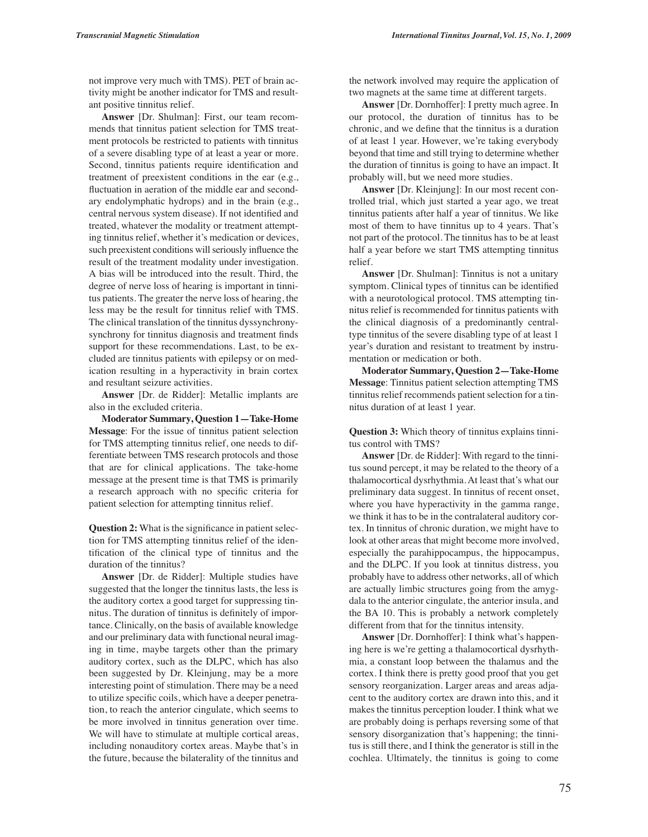not improve very much with TMS). PET of brain activity might be another indicator for TMS and resultant positive tinnitus relief.

**Answer** [Dr. Shulman]: First, our team recommends that tinnitus patient selection for TMS treatment protocols be restricted to patients with tinnitus of a severe disabling type of at least a year or more. Second, tinnitus patients require identification and treatment of preexistent conditions in the ear (e.g., fluctuation in aeration of the middle ear and secondary endolymphatic hydrops) and in the brain (e.g., central nervous system disease). If not identified and treated, whatever the modality or treatment attempting tinnitus relief, whether it's medication or devices, such preexistent conditions will seriously influence the result of the treatment modality under investigation. A bias will be introduced into the result. Third, the degree of nerve loss of hearing is important in tinnitus patients. The greater the nerve loss of hearing, the less may be the result for tinnitus relief with TMS. The clinical translation of the tinnitus dyssynchronysynchrony for tinnitus diagnosis and treatment finds support for these recommendations. Last, to be excluded are tinnitus patients with epilepsy or on medication resulting in a hyperactivity in brain cortex and resultant seizure activities.

**Answer** [Dr. de Ridder]: Metallic implants are also in the excluded criteria.

**Moderator Summary, Question 1—Take-Home Message**: For the issue of tinnitus patient selection for TMS attempting tinnitus relief, one needs to differentiate between TMS research protocols and those that are for clinical applications. The take-home message at the present time is that TMS is primarily a research approach with no specific criteria for patient selection for attempting tinnitus relief.

**Question 2:** What is the significance in patient selection for TMS attempting tinnitus relief of the identification of the clinical type of tinnitus and the duration of the tinnitus?

**Answer** [Dr. de Ridder]: Multiple studies have suggested that the longer the tinnitus lasts, the less is the auditory cortex a good target for suppressing tinnitus. The duration of tinnitus is definitely of importance. Clinically, on the basis of available knowledge and our preliminary data with functional neural imaging in time, maybe targets other than the primary auditory cortex, such as the DLPC, which has also been suggested by Dr. Kleinjung, may be a more interesting point of stimulation. There may be a need to utilize specific coils, which have a deeper penetration, to reach the anterior cingulate, which seems to be more involved in tinnitus generation over time. We will have to stimulate at multiple cortical areas, including nonauditory cortex areas. Maybe that's in the future, because the bilaterality of the tinnitus and the network involved may require the application of two magnets at the same time at different targets.

**Answer** [Dr. Dornhoffer]: I pretty much agree. In our protocol, the duration of tinnitus has to be chronic, and we define that the tinnitus is a duration of at least 1 year. However, we're taking everybody beyond that time and still trying to determine whether the duration of tinnitus is going to have an impact. It probably will, but we need more studies.

**Answer** [Dr. Kleinjung]: In our most recent controlled trial, which just started a year ago, we treat tinnitus patients after half a year of tinnitus. We like most of them to have tinnitus up to 4 years. That's not part of the protocol. The tinnitus has to be at least half a year before we start TMS attempting tinnitus relief.

**Answer** [Dr. Shulman]: Tinnitus is not a unitary symptom. Clinical types of tinnitus can be identified with a neurotological protocol. TMS attempting tinnitus relief is recommended for tinnitus patients with the clinical diagnosis of a predominantly centraltype tinnitus of the severe disabling type of at least 1 year's duration and resistant to treatment by instrumentation or medication or both.

**Moderator Summary, Question 2—Take-Home Message**: Tinnitus patient selection attempting TMS tinnitus relief recommends patient selection for a tinnitus duration of at least 1 year.

**Question 3:** Which theory of tinnitus explains tinnitus control with TMS?

**Answer** [Dr. de Ridder]: With regard to the tinnitus sound percept, it may be related to the theory of a thalamocortical dysrhythmia. At least that's what our preliminary data suggest. In tinnitus of recent onset, where you have hyperactivity in the gamma range, we think it has to be in the contralateral auditory cortex. In tinnitus of chronic duration, we might have to look at other areas that might become more involved, especially the parahippocampus, the hippocampus, and the DLPC. If you look at tinnitus distress, you probably have to address other networks, all of which are actually limbic structures going from the amygdala to the anterior cingulate, the anterior insula, and the BA 10. This is probably a network completely different from that for the tinnitus intensity.

**Answer** [Dr. Dornhoffer]: I think what's happening here is we're getting a thalamocortical dysrhythmia, a constant loop between the thalamus and the cortex. I think there is pretty good proof that you get sensory reorganization. Larger areas and areas adjacent to the auditory cortex are drawn into this, and it makes the tinnitus perception louder. I think what we are probably doing is perhaps reversing some of that sensory disorganization that's happening; the tinnitus is still there, and I think the generator is still in the cochlea. Ultimately, the tinnitus is going to come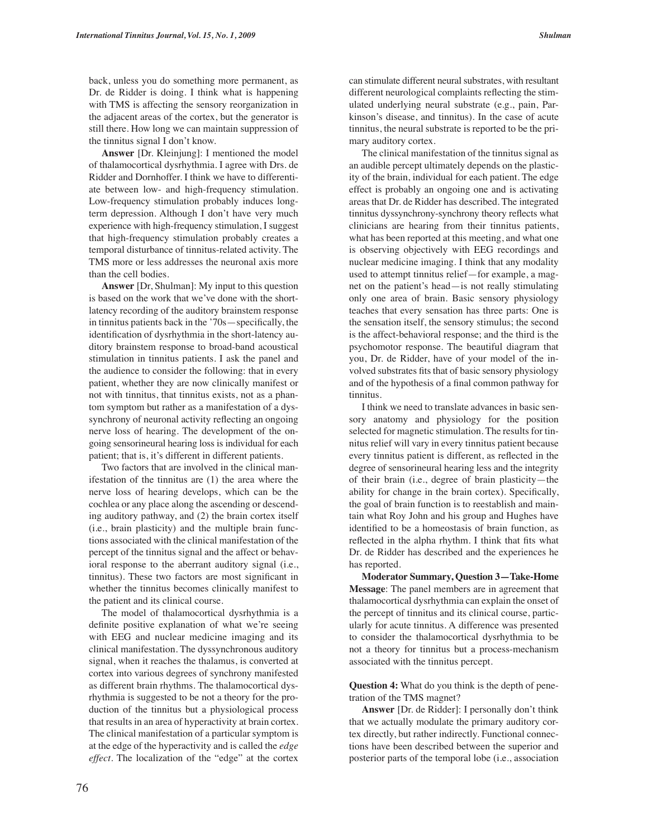back, unless you do something more permanent, as Dr. de Ridder is doing. I think what is happening with TMS is affecting the sensory reorganization in the adjacent areas of the cortex, but the generator is still there. How long we can maintain suppression of the tinnitus signal I don't know.

**Answer** [Dr. Kleinjung]: I mentioned the model of thalamocortical dysrhythmia. I agree with Drs. de Ridder and Dornhoffer. I think we have to differentiate between low- and high-frequency stimulation. Low-frequency stimulation probably induces longterm depression. Although I don't have very much experience with high-frequency stimulation, I suggest that high-frequency stimulation probably creates a temporal disturbance of tinnitus-related activity. The TMS more or less addresses the neuronal axis more than the cell bodies.

**Answer** [Dr, Shulman]: My input to this question is based on the work that we've done with the shortlatency recording of the auditory brainstem response in tinnitus patients back in the '70s—specifically, the identification of dysrhythmia in the short-latency auditory brainstem response to broad-band acoustical stimulation in tinnitus patients. I ask the panel and the audience to consider the following: that in every patient, whether they are now clinically manifest or not with tinnitus, that tinnitus exists, not as a phantom symptom but rather as a manifestation of a dyssynchrony of neuronal activity reflecting an ongoing nerve loss of hearing. The development of the ongoing sensorineural hearing loss is individual for each patient; that is, it's different in different patients.

Two factors that are involved in the clinical manifestation of the tinnitus are (1) the area where the nerve loss of hearing develops, which can be the cochlea or any place along the ascending or descending auditory pathway, and (2) the brain cortex itself (i.e., brain plasticity) and the multiple brain functions associated with the clinical manifestation of the percept of the tinnitus signal and the affect or behavioral response to the aberrant auditory signal (i.e., tinnitus). These two factors are most significant in whether the tinnitus becomes clinically manifest to the patient and its clinical course.

The model of thalamocortical dysrhythmia is a definite positive explanation of what we're seeing with EEG and nuclear medicine imaging and its clinical manifestation. The dyssynchronous auditory signal, when it reaches the thalamus, is converted at cortex into various degrees of synchrony manifested as different brain rhythms. The thalamocortical dysrhythmia is suggested to be not a theory for the production of the tinnitus but a physiological process that results in an area of hyperactivity at brain cortex. The clinical manifestation of a particular symptom is at the edge of the hyperactivity and is called the *edge effect*. The localization of the "edge" at the cortex can stimulate different neural substrates, with resultant different neurological complaints reflecting the stimulated underlying neural substrate (e.g., pain, Parkinson's disease, and tinnitus). In the case of acute tinnitus, the neural substrate is reported to be the primary auditory cortex.

The clinical manifestation of the tinnitus signal as an audible percept ultimately depends on the plasticity of the brain, individual for each patient. The edge effect is probably an ongoing one and is activating areas that Dr. de Ridder has described. The integrated tinnitus dyssynchrony-synchrony theory reflects what clinicians are hearing from their tinnitus patients, what has been reported at this meeting, and what one is observing objectively with EEG recordings and nuclear medicine imaging. I think that any modality used to attempt tinnitus relief—for example, a magnet on the patient's head—is not really stimulating only one area of brain. Basic sensory physiology teaches that every sensation has three parts: One is the sensation itself, the sensory stimulus; the second is the affect-behavioral response; and the third is the psychomotor response. The beautiful diagram that you, Dr. de Ridder, have of your model of the involved substrates fits that of basic sensory physiology and of the hypothesis of a final common pathway for tinnitus.

I think we need to translate advances in basic sensory anatomy and physiology for the position selected for magnetic stimulation. The results for tinnitus relief will vary in every tinnitus patient because every tinnitus patient is different, as reflected in the degree of sensorineural hearing less and the integrity of their brain (i.e., degree of brain plasticity—the ability for change in the brain cortex). Specifically, the goal of brain function is to reestablish and maintain what Roy John and his group and Hughes have identified to be a homeostasis of brain function, as reflected in the alpha rhythm. I think that fits what Dr. de Ridder has described and the experiences he has reported.

**Moderator Summary, Question 3—Take-Home Message**: The panel members are in agreement that thalamocortical dysrhythmia can explain the onset of the percept of tinnitus and its clinical course, particularly for acute tinnitus. A difference was presented to consider the thalamocortical dysrhythmia to be not a theory for tinnitus but a process-mechanism associated with the tinnitus percept.

**Question 4:** What do you think is the depth of penetration of the TMS magnet?

**Answer** [Dr. de Ridder]: I personally don't think that we actually modulate the primary auditory cortex directly, but rather indirectly. Functional connections have been described between the superior and posterior parts of the temporal lobe (i.e., association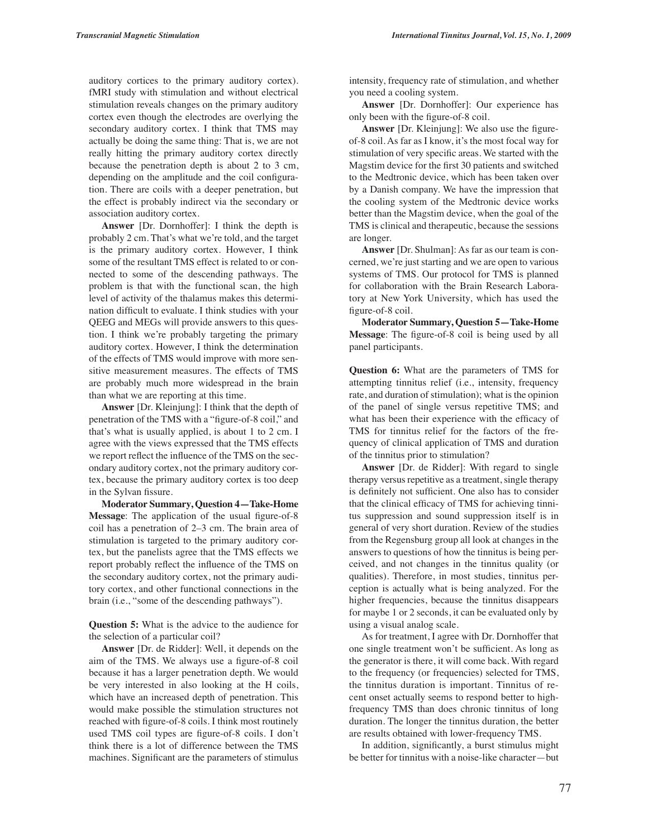auditory cortices to the primary auditory cortex). fMRI study with stimulation and without electrical stimulation reveals changes on the primary auditory cortex even though the electrodes are overlying the secondary auditory cortex. I think that TMS may actually be doing the same thing: That is, we are not really hitting the primary auditory cortex directly because the penetration depth is about 2 to 3 cm, depending on the amplitude and the coil configuration. There are coils with a deeper penetration, but the effect is probably indirect via the secondary or association auditory cortex.

**Answer** [Dr. Dornhoffer]: I think the depth is probably 2 cm. That's what we're told, and the target is the primary auditory cortex. However, I think some of the resultant TMS effect is related to or connected to some of the descending pathways. The problem is that with the functional scan, the high level of activity of the thalamus makes this determination difficult to evaluate. I think studies with your QEEG and MEGs will provide answers to this question. I think we're probably targeting the primary auditory cortex. However, I think the determination of the effects of TMS would improve with more sensitive measurement measures. The effects of TMS are probably much more widespread in the brain than what we are reporting at this time.

**Answer** [Dr. Kleinjung]: I think that the depth of penetration of the TMS with a "figure-of-8 coil," and that's what is usually applied, is about 1 to 2 cm. I agree with the views expressed that the TMS effects we report reflect the influence of the TMS on the secondary auditory cortex, not the primary auditory cortex, because the primary auditory cortex is too deep in the Sylvan fissure.

**Moderator Summary, Question 4—Take-Home Message**: The application of the usual figure-of-8 coil has a penetration of 2–3 cm. The brain area of stimulation is targeted to the primary auditory cortex, but the panelists agree that the TMS effects we report probably reflect the influence of the TMS on the secondary auditory cortex, not the primary auditory cortex, and other functional connections in the brain (i.e., "some of the descending pathways").

**Question 5:** What is the advice to the audience for the selection of a particular coil?

**Answer** [Dr. de Ridder]: Well, it depends on the aim of the TMS. We always use a figure-of-8 coil because it has a larger penetration depth. We would be very interested in also looking at the H coils, which have an increased depth of penetration. This would make possible the stimulation structures not reached with figure-of-8 coils. I think most routinely used TMS coil types are figure-of-8 coils. I don't think there is a lot of difference between the TMS machines. Significant are the parameters of stimulus intensity, frequency rate of stimulation, and whether you need a cooling system.

**Answer** [Dr. Dornhoffer]: Our experience has only been with the figure-of-8 coil.

**Answer** [Dr. Kleinjung]: We also use the figureof-8 coil. As far as I know, it's the most focal way for stimulation of very specific areas. We started with the Magstim device for the first 30 patients and switched to the Medtronic device, which has been taken over by a Danish company. We have the impression that the cooling system of the Medtronic device works better than the Magstim device, when the goal of the TMS is clinical and therapeutic, because the sessions are longer.

**Answer** [Dr. Shulman]: As far as our team is concerned, we're just starting and we are open to various systems of TMS. Our protocol for TMS is planned for collaboration with the Brain Research Laboratory at New York University, which has used the figure-of-8 coil.

**Moderator Summary, Question 5—Take-Home Message**: The figure-of-8 coil is being used by all panel participants.

**Question 6:** What are the parameters of TMS for attempting tinnitus relief (i.e., intensity, frequency rate, and duration of stimulation); what is the opinion of the panel of single versus repetitive TMS; and what has been their experience with the efficacy of TMS for tinnitus relief for the factors of the frequency of clinical application of TMS and duration of the tinnitus prior to stimulation?

**Answer** [Dr. de Ridder]: With regard to single therapy versus repetitive as a treatment, single therapy is definitely not sufficient. One also has to consider that the clinical efficacy of TMS for achieving tinnitus suppression and sound suppression itself is in general of very short duration. Review of the studies from the Regensburg group all look at changes in the answers to questions of how the tinnitus is being perceived, and not changes in the tinnitus quality (or qualities). Therefore, in most studies, tinnitus perception is actually what is being analyzed. For the higher frequencies, because the tinnitus disappears for maybe 1 or 2 seconds, it can be evaluated only by using a visual analog scale.

As for treatment, I agree with Dr. Dornhoffer that one single treatment won't be sufficient. As long as the generator is there, it will come back. With regard to the frequency (or frequencies) selected for TMS, the tinnitus duration is important. Tinnitus of recent onset actually seems to respond better to highfrequency TMS than does chronic tinnitus of long duration. The longer the tinnitus duration, the better are results obtained with lower-frequency TMS.

In addition, significantly, a burst stimulus might be better for tinnitus with a noise-like character—but